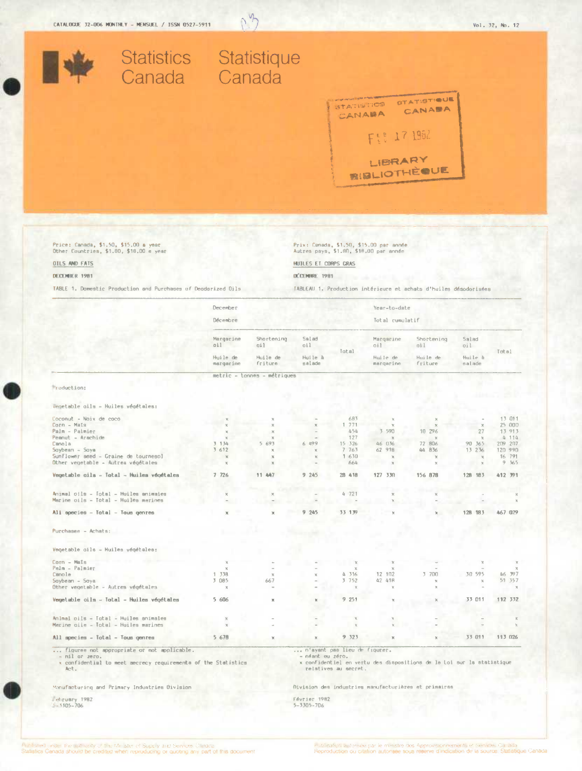

03

Price: Canada, \$1,50, \$15,00 a year<br>Other Countries, \$1,80, \$18,00 e year

OILS AND FATS

#### DECEMBER 1981

TABLE 1. Domestic Production and Purchases of Deodorized Dils

Prix: Canada, \$1,50, \$15.00 par année<br>Autres pays, \$1.80, \$18.00 par année

HUILES ET CORPS GRAS

DÉCEMBRE 1981

TABLEAU 1. Production intérieure et achats d'huiles désodorisées

|                                                                                         | December              |                             |                                  |                      | Year-to-date          |                                                                       |                   |         |
|-----------------------------------------------------------------------------------------|-----------------------|-----------------------------|----------------------------------|----------------------|-----------------------|-----------------------------------------------------------------------|-------------------|---------|
|                                                                                         | Décembre              |                             |                                  |                      | Total cumulatif       |                                                                       |                   |         |
|                                                                                         | Margerine<br>011      | Shortening<br>oil           | Salad<br>oil                     | Total                | Margarine<br>dil.     | Shortening<br>011                                                     | Salad<br>Dil      | Total   |
|                                                                                         | Huile de<br>margarine | Huile de<br>friture         | Huile à<br>salade                |                      | Huile de<br>margarine | Huile de<br>friture                                                   | Huile à<br>salade |         |
|                                                                                         |                       | metric - tonnes - métriques |                                  |                      |                       |                                                                       |                   |         |
| Production:                                                                             |                       |                             |                                  |                      |                       |                                                                       |                   |         |
| Vegetable oils - Huiles végétales:                                                      |                       |                             |                                  |                      |                       |                                                                       |                   |         |
| Coconut - Noix de coco                                                                  |                       |                             |                                  | 683                  |                       |                                                                       |                   | 13 011  |
| Corn - Mais                                                                             |                       |                             |                                  | 1 771                |                       | $\mathcal{M}$                                                         |                   | 25 000  |
| Palm - Palmier                                                                          |                       | $\chi$                      |                                  | 454                  | 3 590                 | 10 29 6                                                               | 27                | 13 913  |
| Peanut - Arachide                                                                       |                       | $\mathbf{x}$                |                                  | 127                  | $\mathcal{M}$         | $-26$                                                                 | $\infty$          | 4 114   |
| Canola                                                                                  | 3 134                 | 5 693                       | 6 499                            | 15 326               | 46 036                | 72 806                                                                | 90 365            | 209 207 |
| Soybean - Soya                                                                          | 3 612                 | x                           |                                  | 7 7 6 3              | 62 918                | 44 836                                                                | 13 236            | 120 990 |
| Sunflower seed - Graine de tournespl                                                    | $\mathcal{H}$         | x                           | $\mathbf{x}$                     | 1630                 | $\mathcal{M}$         | $\mathcal{R}$                                                         |                   | 16 791  |
| Other vegetable - Autrea végétales                                                      |                       |                             |                                  | 664                  | $\mathbf x$           |                                                                       |                   | 9, 365  |
| Vegetable cils - Total - Huiles végétales                                               | 7.726                 | 11 447                      | 9.245                            | 28 418               | 127 330               | 156 878                                                               | 128 183           | 412 391 |
|                                                                                         |                       |                             |                                  |                      |                       |                                                                       |                   |         |
| Animal oils - Total - Huiles animaies<br>Marine pils - Total - Huiles merines           |                       |                             |                                  | 4721                 |                       |                                                                       |                   |         |
| Ali species - Total - Tous genres                                                       |                       |                             | 9.245                            | 33 139               |                       |                                                                       | 128 183           | 467 029 |
| Purchases - Achats:                                                                     |                       |                             |                                  |                      |                       |                                                                       |                   |         |
|                                                                                         |                       |                             |                                  |                      |                       |                                                                       |                   |         |
| Vegetable oils - Huiles végétales:                                                      |                       |                             |                                  |                      |                       |                                                                       |                   |         |
| Corn - Mais                                                                             |                       |                             |                                  |                      |                       |                                                                       |                   |         |
| Pelm - Palmier                                                                          |                       |                             |                                  | x                    |                       |                                                                       |                   |         |
| Canole                                                                                  | 1 338                 | $\mathbf{x}$                |                                  | 4 316                | 12 102                | 3 700                                                                 | 30 595            | 46 397  |
| Soybean - Soya                                                                          | 3 085                 | 667                         |                                  | 3 7 5 2              | 42 418                | $\mathbf x$                                                           |                   | 51 357  |
| Other vegetable - Autres végétales                                                      | $\mathbf{x}$          |                             |                                  | $\mathbf{y}$         |                       |                                                                       |                   |         |
| Vegetable oils - Total - Huiles végétales                                               | 5 606                 | ×                           |                                  | 9251                 |                       |                                                                       | 33 011            | 112 332 |
|                                                                                         |                       |                             |                                  |                      |                       |                                                                       |                   |         |
| Animal pils - Total - Huiles animales                                                   |                       |                             |                                  | $\chi$               |                       |                                                                       |                   |         |
| Merine oile - Total - Huiles marines                                                    |                       |                             |                                  |                      |                       |                                                                       |                   |         |
| All species - Total - Tous genres                                                       | 5 678                 |                             |                                  | 9 3 2 3              |                       |                                                                       | 33 011            | 113 026 |
| figuree not appropriate or not applicable.                                              |                       |                             | n'ayant pas lieu de figurer.     |                      |                       |                                                                       |                   |         |
| - nil or zero.<br>x confidential to meet mecrecy requirements of the Statistics<br>Act. |                       |                             | - néant ou zéro.                 | relatives au secret. |                       | x confidentiel en vertu des dispositions de la Loi sur la statistique |                   |         |
| Manufacturing and Primary Industries Division                                           |                       |                             |                                  |                      |                       | Division des industries manufacturières et primairss                  |                   |         |
| Phrusry 1982<br>$-3305 - 706$                                                           |                       |                             | Février 1982<br>$5 - 3305 - 706$ |                      |                       |                                                                       |                   |         |

.<br>Fightsned origin the authority of the Micister of Supery and Services Canada.<br>Statistics Canada should be credited when reproducing or quoting any part of this document.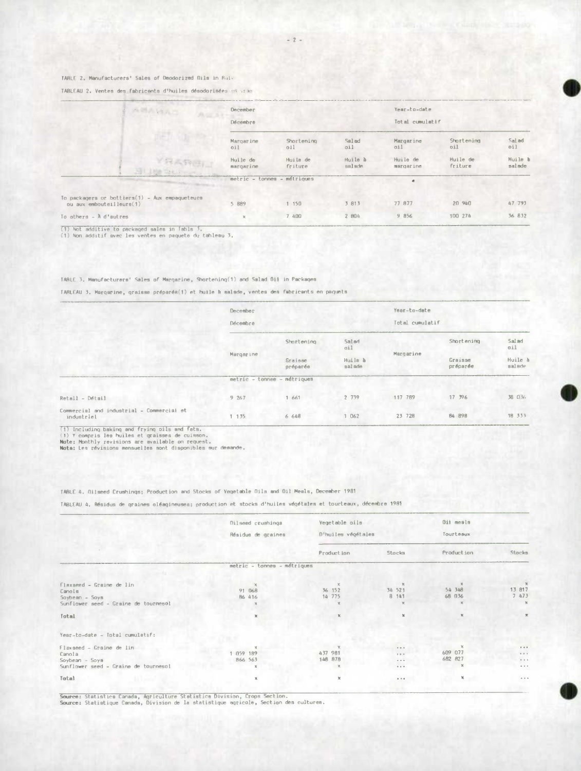# TARLE 2. Manufacturers' Sales of Deodorized Dils in Bull

TABLEAU 2. Ventes des fabricants d'huiles désodorisées en vran

| AMAMAS                                                                     | December<br>Décembre  |                             |                   | Year-to-date<br>Total cumulatif |                     |                   |
|----------------------------------------------------------------------------|-----------------------|-----------------------------|-------------------|---------------------------------|---------------------|-------------------|
|                                                                            | Margarine<br>0i1      | Shortening<br>0.11          | Salad<br>oil      | Margarine<br>011                | Shartenina<br>011   | Sal ad<br>011     |
| <b>YRAREV</b><br>SHI MARK TANK TANK                                        | Huile de<br>margarine | Huila de<br>friture         | Huile à<br>salsde | Huile de<br>margarine           | Huile de<br>friture | Huile h<br>salade |
|                                                                            |                       | metric - tonnes - métriques |                   |                                 |                     |                   |
| To packagers or bottiers(1) - Aux empaqueteurs<br>ou aux embouteilleurs(1) | 5 889                 | 1 150                       | 3 813             | 77 877                          | 20 940              | 47 793            |
| To others $ \lambda$ d'autres                                              |                       | 7 400                       | 2 804             | 9 856                           | 100 274             | 36 832            |

(1) Not additive to packaged sales in Table 3.<br>(1) Non additif svec les ventes en paquete du tableau 3.

# TABLE 3. Menufacturers' Sales of Margarine, Shortening(1) and Salad Oii in Packages

TARLEAU 3. Marqsrine, graisse préparés(1) et huile à salade, ventes des fabricants en paquets

|                                                         | December<br>Décembre        |                                                    |                   | Year-to-date<br>Total cumulatif |                     |                                   |
|---------------------------------------------------------|-----------------------------|----------------------------------------------------|-------------------|---------------------------------|---------------------|-----------------------------------|
|                                                         |                             | Salari<br>Shortening<br>oil<br>Graisse<br>préparée |                   |                                 | Shortening          | Salad<br>oil<br>Huile à<br>salade |
|                                                         | Margarine                   |                                                    | Huila à<br>salade | Margarine                       | Graisse<br>préparée |                                   |
|                                                         | metric - tonnee - métriques |                                                    |                   |                                 |                     |                                   |
| Retall - Détail                                         | 9267                        | 661                                                | 2 739             | 117 789                         | 17 996              | <b>38 036</b>                     |
| Commercial and industrial - Commercial et<br>industriel | 1 135                       | 6 648                                              | 1 062             | 23 728                          | 84 898              | 18 333                            |

(1) Including baking and frying pils and fats.<br>(1) Y compris les huiles et graisses de cuisson.<br>Mote: Monthly revisions are svailable on request.<br>Nota: Les révisions mensuelles sont diaponibles sur demande.

#### TABLE 4. Oliseed Crushings; Production and Stocks of Vegetable Dils and Oil Meals, December 1981

TABLEAU 4. Résidus de graines oléagineusea; production et stocks d'huiles végétales et tourteaux, décembre 1981

|                                      | Dilseed crushings           | Vegetable pils<br>D'huiles végétales |                          | Oit meals    |             |  |
|--------------------------------------|-----------------------------|--------------------------------------|--------------------------|--------------|-------------|--|
|                                      | Résidus de graines          |                                      |                          | Tourteaux    |             |  |
|                                      |                             | Production                           | Stocks                   | Production   | Stocks      |  |
|                                      | metric - tonnes - métriques |                                      |                          |              |             |  |
| Flaxseed - Graine de lin             |                             |                                      |                          |              | $\chi$      |  |
| Canola                               | 91 068                      | 36 152                               | 34 521                   | 54 348       | 13 817      |  |
| Soybean - Soys                       | <b>B6 416</b>               | 14 775                               | 8 141                    | 68 036       | 7473        |  |
| Sunflower seed - Grsine de tournesol |                             |                                      |                          |              |             |  |
| Total                                |                             | $\chi$                               |                          |              | $\mathbb R$ |  |
| Year-to-date - Total cumulatif:      |                             |                                      |                          |              |             |  |
| Flaxseed - Graine de lin             |                             |                                      | 0.9.8                    |              | $P - 0$     |  |
| Canola                               | 1 059 189                   | 437 981                              | $9.9 - 9.$               | 609 077      | $4 - 8 - 4$ |  |
| $Soybean - Soys$                     | 866 563                     | 148 878                              | $\alpha \rightarrow \pi$ | 682 827      | $0.6 - 0.$  |  |
| Sunflower seed - Graine de tournesol |                             |                                      | $0 + 0$                  |              | $\cdots$    |  |
| Total                                |                             |                                      | 0.10                     | $\mathbf{x}$ | $\sim$ $ +$ |  |

Source: Statistics Canada, Agriculture Statistics Division, Crops Section.<br>Source: Statistique Canada, Division de la statistique agricole, Section des cultures.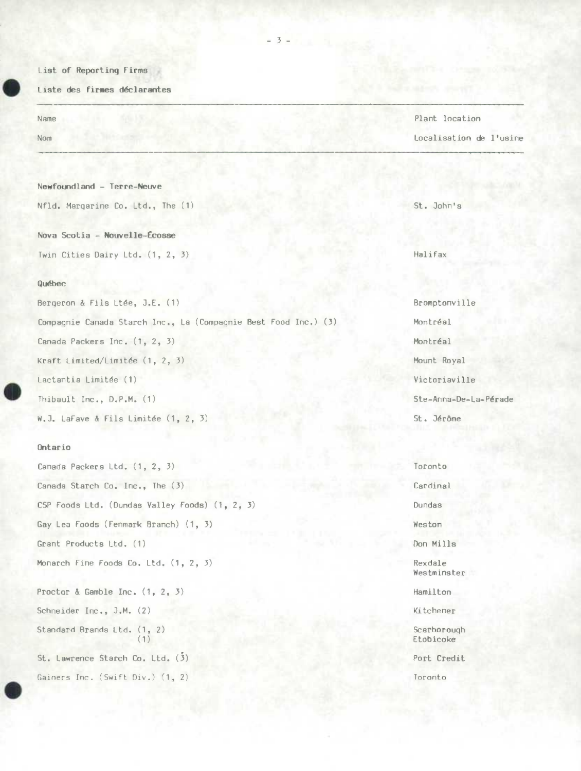#### List of Reporting Firms

#### Liste des firmes déclarantes

## **Newfotgd1and** - Terre-Neuve

Nfld. Margarine Co. Ltd., The (1) St. John's

Nova **Scotia** - **Nouvelle-cosse**  Twin Cities Dairy Ltd. (1, 2, 3) Halifax

## **Québec**

Bergeron & Fils Ltée, J.E. (1) Bromptonville

Compagnie Canada Starch Inc., La (Compagnie Best Food Inc.) (3) Montréal Canada Packers Inc. (1, 2, 3) Montréal

Lactantia Limitée (1) Victoriaville

Thibault Inc., D.P.M. (1) Ste-Anna-De-La-Pérade

W.J. LaFave & Fils Limitée (1, 2, 3) St. Jérôme

## Ontario

Canada Packers Ltd. (1, 2, *3)* Toronto Canada Starch Co. Inc., The (3) Cardinal CSP Foods Ltd. (Dundas Valley Foods) (1, 2, 3) Dundas Gay Lea Foods (Fenmark Branch) (1, 3) Weston Grant Products Ltd. (1) Don Mills Monarch Fine Foods Co. Ltd. (1, 2, 3) Rexdale Proctor & Gamble Inc.  $(1, 2, 3)$  Hamilton Schneider Inc., J.M. (2) Kitchener Standard Brands Ltd. (1, 2) Scarborough (1) Etobicoke St. Lawrence Starch Co. Ltd. (3) Port Credit Gainers Inc. (Swift Div.) (1, 2) Toronto

Name Plant location Nom Localisation de l'usine

Kraft Limited/Limitée (1, 2, 3) Mount Royal

Westminster